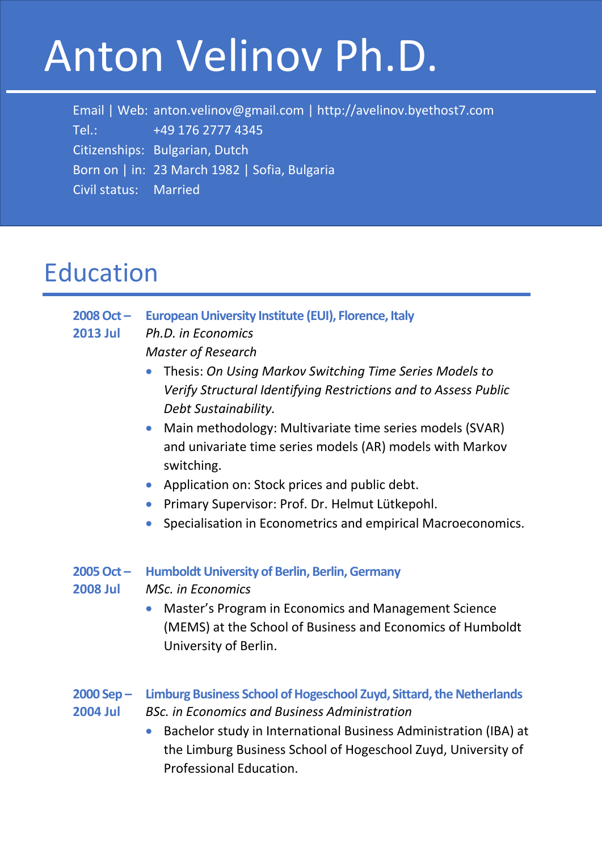# Anton Velinov Ph.D.

 Email | Web: anton.velinov@gmail.com | http://avelinov.byethost7.com Tel.: +49 176 2777 4345 Citizenships: Bulgarian, Dutch Born on | in: 23 March 1982 | Sofia, Bulgaria Civil status: Married

### Education

- **2008 Oct – European University Institute (EUI), Florence, Italy 2013 Jul** *Ph.D. in Economics*
	- *Master of Research*
	- Thesis: *On Using Markov Switching Time Series Models to Verify Structural Identifying Restrictions and to Assess Public Debt Sustainability.*
	- Main methodology: Multivariate time series models (SVAR) and univariate time series models (AR) models with Markov switching.
	- Application on: Stock prices and public debt.
	- Primary Supervisor: Prof. Dr. Helmut Lütkepohl.
	- Specialisation in Econometrics and empirical Macroeconomics.

#### **2005Oct – Humboldt University of Berlin, Berlin, Germany**

- **2008 Jul** *MSc. in Economics*
	- Master's Program in Economics and Management Science (MEMS) at the School of Business and Economics of Humboldt University of Berlin.
- **2000 Sep – Limburg Business School of Hogeschool Zuyd, Sittard, the Netherlands 2004 Jul** *BSc. in Economics and Business Administration*
	- Bachelor study in International Business Administration (IBA) at the Limburg Business School of Hogeschool Zuyd, University of Professional Education.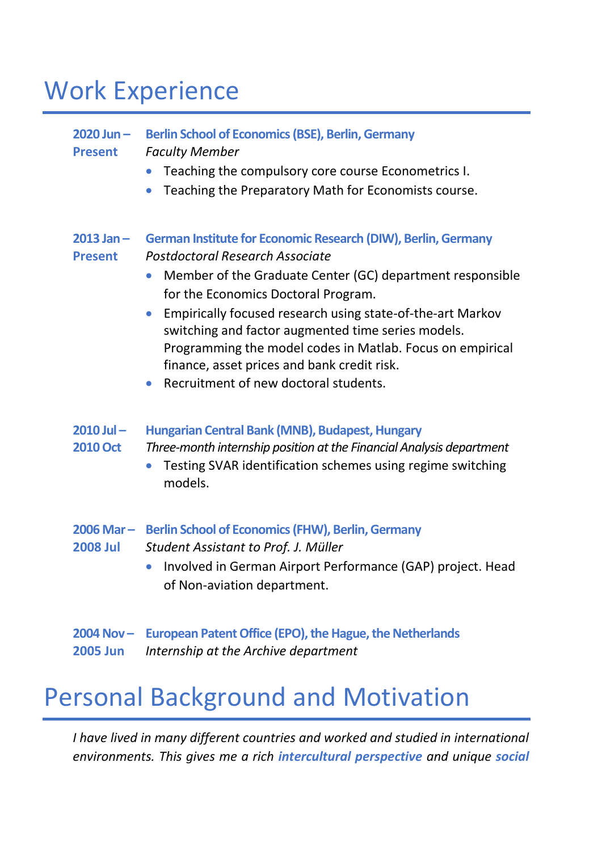### Work Experience

#### **2020 Jun – Berlin School of Economics (BSE), Berlin, Germany Present** *Faculty Member* • Teaching the compulsory core course Econometrics I. • Teaching the Preparatory Math for Economists course. **2013 Jan – German Institute for Economic Research (DIW), Berlin, Germany Present** *Postdoctoral Research Associate* • Member of the Graduate Center (GC) department responsible for the Economics Doctoral Program. • Empirically focused research using state-of-the-art Markov switching and factor augmented time series models. Programming the model codes in Matlab. Focus on empirical finance, asset prices and bank credit risk. • Recruitment of new doctoral students. **2010 Jul – Hungarian Central Bank (MNB), Budapest, Hungary 2010 Oct** *Three-month internship position at the Financial Analysis department* • Testing SVAR identification schemes using regime switching models. **2006 Mar – Berlin School of Economics (FHW), Berlin, Germany 2008 Jul** *Student Assistant to Prof. J. Müller* • Involved in German Airport Performance (GAP) project. Head of Non-aviation department. **2004 Nov – European Patent Office (EPO), the Hague, the Netherlands 2005 Jun** *Internship at the Archive department*

### Personal Background and Motivation

*I have lived in many different countries and worked and studied in international environments. This gives me a rich intercultural perspective and unique social*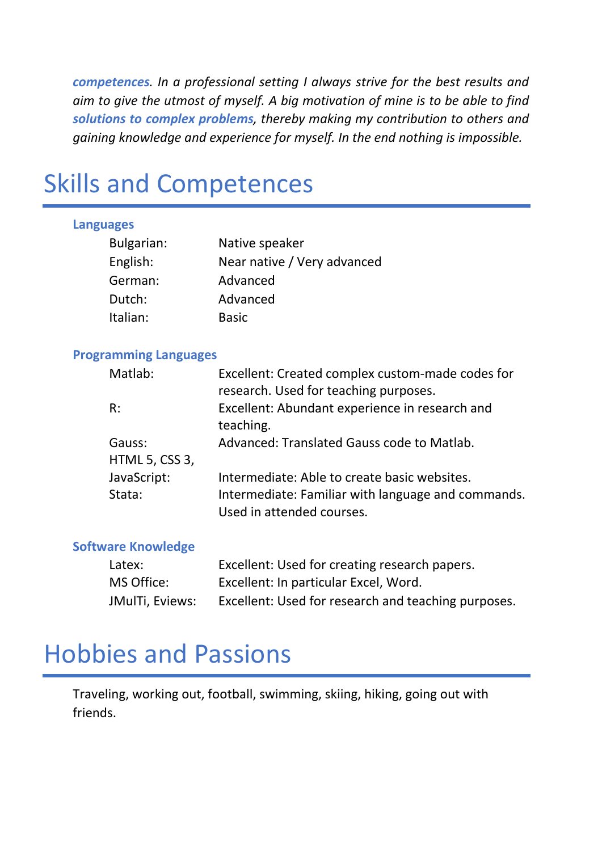*competences. In a professional setting I always strive for the best results and aim to give the utmost of myself. A big motivation of mine is to be able to find solutions to complex problems, thereby making my contribution to others and gaining knowledge and experience for myself. In the end nothing is impossible.*

### Skills and Competences

#### **Languages**

| Bulgarian: | Native speaker              |
|------------|-----------------------------|
| English:   | Near native / Very advanced |
| German:    | Advanced                    |
| Dutch:     | Advanced                    |
| Italian:   | <b>Basic</b>                |

#### **Programming Languages**

| Matlab:                  | Excellent: Created complex custom-made codes for<br>research. Used for teaching purposes.                                       |
|--------------------------|---------------------------------------------------------------------------------------------------------------------------------|
| R:                       | Excellent: Abundant experience in research and<br>teaching.                                                                     |
| Gauss:<br>HTML 5, CSS 3, | Advanced: Translated Gauss code to Matlab.                                                                                      |
| JavaScript:<br>Stata:    | Intermediate: Able to create basic websites.<br>Intermediate: Familiar with language and commands.<br>Used in attended courses. |

#### **Software Knowledge**

| Latex:          | Excellent: Used for creating research papers.       |
|-----------------|-----------------------------------------------------|
| MS Office:      | Excellent: In particular Excel, Word.               |
| JMulTi, Eviews: | Excellent: Used for research and teaching purposes. |

#### Hobbies and Passions

Traveling, working out, football, swimming, skiing, hiking, going out with friends.